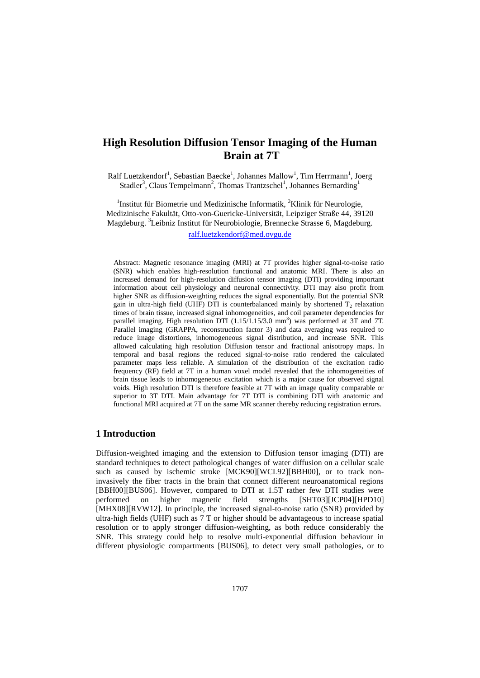# **High Resolution Diffusion Tensor Imaging of the Human Brain at 7T**

Ralf Luetzkendorf<sup>1</sup>, Sebastian Baecke<sup>1</sup>, Johannes Mallow<sup>1</sup>, Tim Herrmann<sup>1</sup>, Joerg Stadler<sup>3</sup>, Claus Tempelmann<sup>2</sup>, Thomas Trantzschel<sup>1</sup>, Johannes Bernarding<sup>1</sup>

<sup>1</sup>Institut für Biometrie und Medizinische Informatik, <sup>2</sup>Klinik für Neurologie, Medizinische Fakultät, Otto-von-Guericke-Universität, Leipziger Straße 44, 39120 Magdeburg. <sup>3</sup>Leibniz Institut für Neurobiologie, Brennecke Strasse 6, Magdeburg.

[ralf.luetzkendorf@med.ovgu.de](mailto:ralf.luetzkendorf@med.ovgu.de) 

 Abstract: Magnetic resonance imaging (MRI) at 7T provides higher signal-to-noise ratio (SNR) which enables high-resolution functional and anatomic MRI. There is also an increased demand for high-resolution diffusion tensor imaging (DTI) providing important information about cell physiology and neuronal connectivity. DTI may also profit from higher SNR as diffusion-weighting reduces the signal exponentially. But the potential SNR gain in ultra-high field (UHF) DTI is counterbalanced mainly by shortened  $T_2$  relaxation times of brain tissue, increased signal inhomogeneities, and coil parameter dependencies for parallel imaging. High resolution DTI  $(1.15/1.15/3.0 \text{ mm}^3)$  was performed at 3T and 7T. Parallel imaging (GRAPPA, reconstruction factor 3) and data averaging was required to reduce image distortions, inhomogeneous signal distribution, and increase SNR. This allowed calculating high resolution Diffusion tensor and fractional anisotropy maps. In temporal and basal regions the reduced signal-to-noise ratio rendered the calculated parameter maps less reliable. A simulation of the distribution of the excitation radio frequency (RF) field at 7T in a human voxel model revealed that the inhomogeneities of brain tissue leads to inhomogeneous excitation which is a major cause for observed signal voids. High resolution DTI is therefore feasible at 7T with an image quality comparable or superior to 3T DTI. Main advantage for 7T DTI is combining DTI with anatomic and functional MRI acquired at 7T on the same MR scanner thereby reducing registration errors.

## **1 Introduction**

Diffusion-weighted imaging and the extension to Diffusion tensor imaging (DTI) are standard techniques to detect pathological changes of water diffusion on a cellular scale such as caused by ischemic stroke [MCK90][WCL92][BBH00], or to track noninvasively the fiber tracts in the brain that connect different neuroanatomical regions [BBH00][BUS06]. However, compared to DTI at 1.5T rather few DTI studies were performed on higher magnetic field strengths [SHT03][JCP04][HPD10] [MHX08][RVW12]. In principle, the increased signal-to-noise ratio (SNR) provided by ultra-high fields (UHF) such as 7 T or higher should be advantageous to increase spatial resolution or to apply stronger diffusion-weighting, as both reduce considerably the SNR. This strategy could help to resolve multi-exponential diffusion behaviour in different physiologic compartments [BUS06], to detect very small pathologies, or to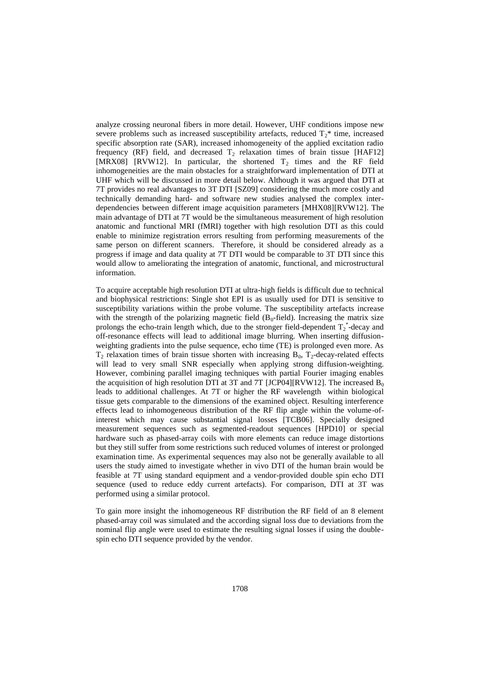analyze crossing neuronal fibers in more detail. However, UHF conditions impose new severe problems such as increased susceptibility artefacts, reduced  $T_2^*$  time, increased specific absorption rate (SAR), increased inhomogeneity of the applied excitation radio frequency (RF) field, and decreased  $T_2$  relaxation times of brain tissue [HAF12] [MRX08] [RVW12]. In particular, the shortened  $T_2$  times and the RF field inhomogeneities are the main obstacles for a straightforward implementation of DTI at UHF which will be discussed in more detail below. Although it was argued that DTI at 7T provides no real advantages to 3T DTI [SZ09] considering the much more costly and technically demanding hard- and software new studies analysed the complex interdependencies between different image acquisition parameters [MHX08][RVW12]. The main advantage of DTI at 7T would be the simultaneous measurement of high resolution anatomic and functional MRI (fMRI) together with high resolution DTI as this could enable to minimize registration errors resulting from performing measurements of the same person on different scanners. Therefore, it should be considered already as a progress if image and data quality at 7T DTI would be comparable to 3T DTI since this would allow to ameliorating the integration of anatomic, functional, and microstructural information.

To acquire acceptable high resolution DTI at ultra-high fields is difficult due to technical and biophysical restrictions: Single shot EPI is as usually used for DTI is sensitive to susceptibility variations within the probe volume. The susceptibility artefacts increase with the strength of the polarizing magnetic field  $(B_0$ -field). Increasing the matrix size prolongs the echo-train length which, due to the stronger field-dependent  $T_2^*$ -decay and off-resonance effects will lead to additional image blurring. When inserting diffusionweighting gradients into the pulse sequence, echo time (TE) is prolonged even more. As  $T_2$  relaxation times of brain tissue shorten with increasing  $B_0$ ,  $T_2$ -decay-related effects will lead to very small SNR especially when applying strong diffusion-weighting. However, combining parallel imaging techniques with partial Fourier imaging enables the acquisition of high resolution DTI at 3T and 7T [JCP04][RVW12]. The increased  $B_0$ leads to additional challenges. At 7T or higher the RF wavelength within biological tissue gets comparable to the dimensions of the examined object. Resulting interference effects lead to inhomogeneous distribution of the RF flip angle within the volume-ofinterest which may cause substantial signal losses [TCB06]. Specially designed measurement sequences such as segmented-readout sequences [HPD10] or special hardware such as phased-array coils with more elements can reduce image distortions but they still suffer from some restrictions such reduced volumes of interest or prolonged examination time. As experimental sequences may also not be generally available to all users the study aimed to investigate whether in vivo DTI of the human brain would be feasible at 7T using standard equipment and a vendor-provided double spin echo DTI sequence (used to reduce eddy current artefacts). For comparison, DTI at 3T was performed using a similar protocol.

To gain more insight the inhomogeneous RF distribution the RF field of an 8 element phased-array coil was simulated and the according signal loss due to deviations from the nominal flip angle were used to estimate the resulting signal losses if using the doublespin echo DTI sequence provided by the vendor.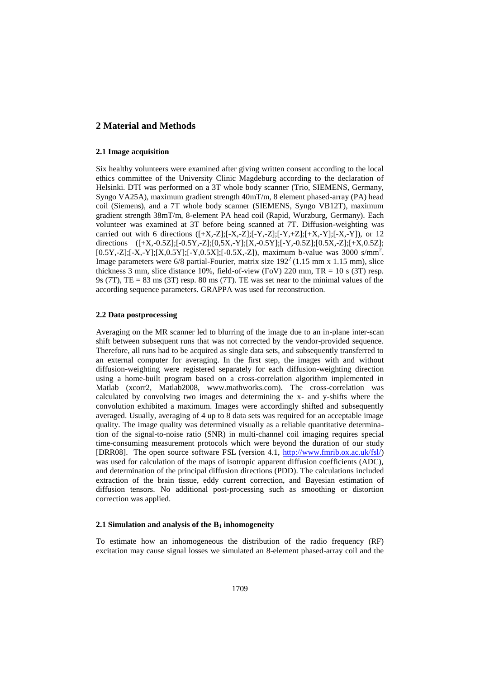## **2 Material and Methods**

#### **2.1 Image acquisition**

Six healthy volunteers were examined after giving written consent according to the local ethics committee of the University Clinic Magdeburg according to the declaration of Helsinki. DTI was performed on a 3T whole body scanner (Trio, SIEMENS, Germany, Syngo VA25A), maximum gradient strength 40mT/m, 8 element phased-array (PA) head coil (Siemens), and a 7T whole body scanner (SIEMENS, Syngo VB12T), maximum gradient strength 38mT/m, 8-element PA head coil (Rapid, Wurzburg, Germany). Each volunteer was examined at 3T before being scanned at 7T. Diffusion-weighting was carried out with 6 directions  $([+X,-Z];[-X,-Z];[-Y,-Z];[-Y,+Z];[-X,-Y];[-X,-Y])$ , or 12 directions ([+X,-0.5Z];[-0.5Y,-Z];[0,5X,-Y];[X,-0.5Y];[-Y,-0.5Z];[0.5X,-Z];[+X,0.5Z]; [0.5Y,-Z];[-X,-Y];[X,0.5Y];[-Y,0.5X];[-0.5X,-Z]), maximum b-value was 3000 s/mm<sup>2</sup>. Image parameters were  $6/8$  partial-Fourier, matrix size  $192<sup>2</sup> (1.15$  mm x 1.15 mm), slice thickness 3 mm, slice distance 10%, field-of-view (FoV) 220 mm,  $TR = 10$  s (3T) resp. 9s (7T), TE = 83 ms (3T) resp. 80 ms (7T). TE was set near to the minimal values of the according sequence parameters. GRAPPA was used for reconstruction.

#### **2.2 Data postprocessing**

Averaging on the MR scanner led to blurring of the image due to an in-plane inter-scan shift between subsequent runs that was not corrected by the vendor-provided sequence. Therefore, all runs had to be acquired as single data sets, and subsequently transferred to an external computer for averaging. In the first step, the images with and without diffusion-weighting were registered separately for each diffusion-weighting direction using a home-built program based on a cross-correlation algorithm implemented in Matlab (xcorr2, Matlab2008, www.mathworks.com). The cross-correlation was calculated by convolving two images and determining the x- and y-shifts where the convolution exhibited a maximum. Images were accordingly shifted and subsequently averaged. Usually, averaging of 4 up to 8 data sets was required for an acceptable image quality. The image quality was determined visually as a reliable quantitative determination of the signal-to-noise ratio (SNR) in multi-channel coil imaging requires special time-consuming measurement protocols which were beyond the duration of our study [DRR08]. The open source software FSL (version 4.1, [http://www.fmrib.ox.ac.uk/fsl/\)](http://www.fmrib.ox.ac.uk/fsl/) was used for calculation of the maps of isotropic apparent diffusion coefficients (ADC), and determination of the principal diffusion directions (PDD). The calculations included extraction of the brain tissue, eddy current correction, and Bayesian estimation of diffusion tensors. No additional post-processing such as smoothing or distortion correction was applied.

#### **2.1 Simulation and analysis of the B1 inhomogeneity**

To estimate how an inhomogeneous the distribution of the radio frequency (RF) excitation may cause signal losses we simulated an 8-element phased-array coil and the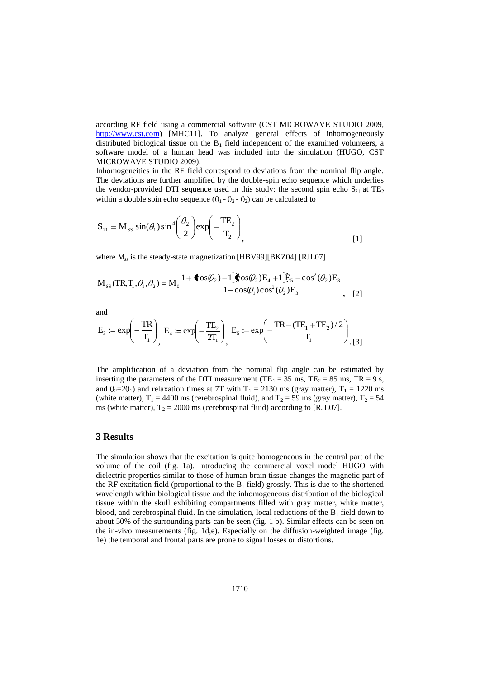according RF field using a commercial software (CST MICROWAVE STUDIO 2009, [http://www.cst.com\)](http://www.cst.com/) [MHC11]. To analyze general effects of inhomogeneously distributed biological tissue on the  $B_1$  field independent of the examined volunteers, a software model of a human head was included into the simulation (HUGO, CST MICROWAVE STUDIO 2009).

Inhomogeneities in the RF field correspond to deviations from the nominal flip angle. The deviations are further amplified by the double-spin echo sequence which underlies the vendor-provided DTI sequence used in this study: the second spin echo  $S_{21}$  at  $TE_2$ within a double spin echo sequence  $(\theta_1 - \theta_2 - \theta_2)$  can be calculated to

$$
S_{21} = M_{SS} \sin(\theta_1) \sin^4\left(\frac{\theta_2}{2}\right) \exp\left(-\frac{TE_2}{T_2}\right), \tag{1}
$$

where  $M_{ss}$  is the steady-state magnetization [HBV99][BKZ04] [RJL07]

$$
M_{SS} (TR, T_1, \theta_1, \theta_2) = M_0 \frac{1 + \text{cos}(\theta_2) - 1 \text{cos}(\theta_2) E_4 + 1 \text{E}_5 - \cos^2(\theta_2) E_3}{1 - \cos(\theta_1) \cos^2(\theta_2) E_3}, \quad [2]
$$

and

$$
E_3 \coloneqq \exp\!\left(-\frac{TR}{T_1}\right)_{\!\!\!1}, E_4 \coloneqq \exp\!\left(-\frac{TE_2}{2T_1}\right)_{\!\!\!1}, E_5 \coloneqq \exp\!\left(-\frac{TR - (TE_1 + TE_2)/2}{T_1}\right)_{\!\!\!1, [3]}
$$

The amplification of a deviation from the nominal flip angle can be estimated by inserting the parameters of the DTI measurement (TE<sub>1</sub> = 35 ms, TE<sub>2</sub> = 85 ms, TR = 9 s, and  $\theta_2=2\theta_1$ ) and relaxation times at 7T with T<sub>1</sub> = 2130 ms (gray matter), T<sub>1</sub> = 1220 ms (white matter),  $T_1 = 4400$  ms (cerebrospinal fluid), and  $T_2 = 59$  ms (gray matter),  $T_2 = 54$ ms (white matter),  $T_2 = 2000$  ms (cerebrospinal fluid) according to [RJL07].

#### **3 Results**

The simulation shows that the excitation is quite homogeneous in the central part of the volume of the coil (fig. 1a). Introducing the commercial voxel model HUGO with dielectric properties similar to those of human brain tissue changes the magnetic part of the RF excitation field (proportional to the  $B_1$  field) grossly. This is due to the shortened wavelength within biological tissue and the inhomogeneous distribution of the biological tissue within the skull exhibiting compartments filled with gray matter, white matter, blood, and cerebrospinal fluid. In the simulation, local reductions of the  $B_1$  field down to about 50% of the surrounding parts can be seen (fig. 1 b). Similar effects can be seen on the in-vivo measurements (fig. 1d,e). Especially on the diffusion-weighted image (fig. 1e) the temporal and frontal parts are prone to signal losses or distortions.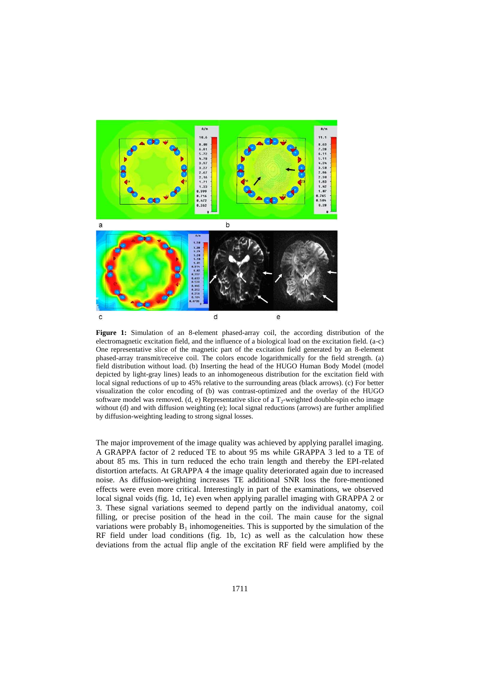

**Figure 1:** Simulation of an 8-element phased-array coil, the according distribution of the electromagnetic excitation field, and the influence of a biological load on the excitation field. (a-c) One representative slice of the magnetic part of the excitation field generated by an 8-element phased-array transmit/receive coil. The colors encode logarithmically for the field strength. (a) field distribution without load. (b) Inserting the head of the HUGO Human Body Model (model depicted by light-gray lines) leads to an inhomogeneous distribution for the excitation field with local signal reductions of up to 45% relative to the surrounding areas (black arrows). (c) For better visualization the color encoding of (b) was contrast-optimized and the overlay of the HUGO software model was removed. (d, e) Representative slice of a  $T_2$ -weighted double-spin echo image without (d) and with diffusion weighting (e); local signal reductions (arrows) are further amplified by diffusion-weighting leading to strong signal losses.

The major improvement of the image quality was achieved by applying parallel imaging. A GRAPPA factor of 2 reduced TE to about 95 ms while GRAPPA 3 led to a TE of about 85 ms. This in turn reduced the echo train length and thereby the EPI-related distortion artefacts. At GRAPPA 4 the image quality deteriorated again due to increased noise. As diffusion-weighting increases TE additional SNR loss the fore-mentioned effects were even more critical. Interestingly in part of the examinations, we observed local signal voids (fig. 1d, 1e) even when applying parallel imaging with GRAPPA 2 or 3. These signal variations seemed to depend partly on the individual anatomy, coil filling, or precise position of the head in the coil. The main cause for the signal variations were probably  $B_1$  inhomogeneities. This is supported by the simulation of the RF field under load conditions (fig. 1b, 1c) as well as the calculation how these deviations from the actual flip angle of the excitation RF field were amplified by the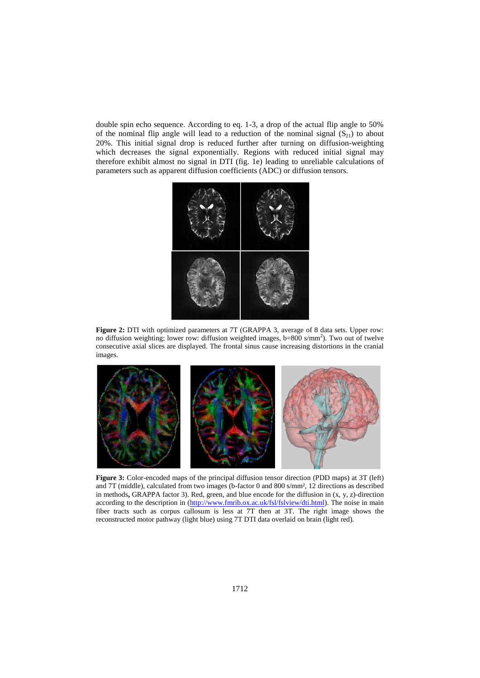double spin echo sequence. According to eq. 1-3, a drop of the actual flip angle to 50% of the nominal flip angle will lead to a reduction of the nominal signal  $(S_{21})$  to about 20%. This initial signal drop is reduced further after turning on diffusion-weighting which decreases the signal exponentially. Regions with reduced initial signal may therefore exhibit almost no signal in DTI (fig. 1e) leading to unreliable calculations of parameters such as apparent diffusion coefficients (ADC) or diffusion tensors.



**Figure 2:** DTI with optimized parameters at 7T (GRAPPA 3, average of 8 data sets. Upper row: no diffusion weighting; lower row: diffusion weighted images, b=800 s/mm<sup>2</sup>). Two out of twelve consecutive axial slices are displayed. The frontal sinus cause increasing distortions in the cranial images.



**Figure 3:** Color-encoded maps of the principal diffusion tensor direction (PDD maps) at 3T (left) and 7T (middle), calculated from two images (b-factor 0 and 800 s/mm², 12 directions as described in methods**,** GRAPPA factor 3). Red, green, and blue encode for the diffusion in (x, y, z)-direction according to the description in [\(http://www.fmrib.ox.ac.uk/fsl/fslview/dti.html\)](http://www.fmrib.ox.ac.uk/fsl/fslview/dti.html). The noise in main fiber tracts such as corpus callosum is less at 7T then at 3T. The right image shows the reconstructed motor pathway (light blue) using 7T DTI data overlaid on brain (light red).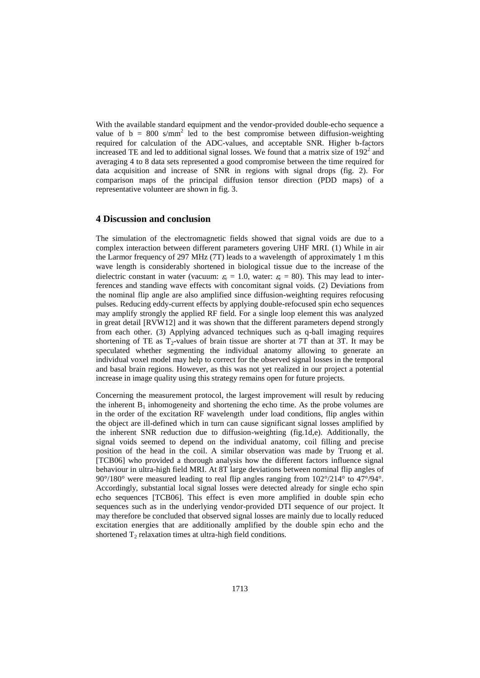With the available standard equipment and the vendor-provided double-echo sequence a value of  $b = 800 \text{ s/mm}^2$  led to the best compromise between diffusion-weighting required for calculation of the ADC-values, and acceptable SNR. Higher b-factors increased TE and led to additional signal losses. We found that a matrix size of  $192<sup>2</sup>$  and averaging 4 to 8 data sets represented a good compromise between the time required for data acquisition and increase of SNR in regions with signal drops (fig. 2). For comparison maps of the principal diffusion tensor direction (PDD maps) of a representative volunteer are shown in fig. 3.

### **4 Discussion and conclusion**

The simulation of the electromagnetic fields showed that signal voids are due to a complex interaction between different parameters govering UHF MRI. (1) While in air the Larmor frequency of 297 MHz (7T) leads to a wavelength of approximately 1 m this wave length is considerably shortened in biological tissue due to the increase of the dielectric constant in water (vacuum:  $\varepsilon_r = 1.0$ , water:  $\varepsilon_r = 80$ ). This may lead to interferences and standing wave effects with concomitant signal voids. (2) Deviations from the nominal flip angle are also amplified since diffusion-weighting requires refocusing pulses. Reducing eddy-current effects by applying double-refocused spin echo sequences may amplify strongly the applied RF field. For a single loop element this was analyzed in great detail [RVW12] and it was shown that the different parameters depend strongly from each other. (3) Applying advanced techniques such as q-ball imaging requires shortening of TE as  $T_2$ -values of brain tissue are shorter at 7T than at 3T. It may be speculated whether segmenting the individual anatomy allowing to generate an individual voxel model may help to correct for the observed signal losses in the temporal and basal brain regions. However, as this was not yet realized in our project a potential increase in image quality using this strategy remains open for future projects.

Concerning the measurement protocol, the largest improvement will result by reducing the inherent  $B_1$  inhomogeneity and shortening the echo time. As the probe volumes are in the order of the excitation RF wavelength under load conditions, flip angles within the object are ill-defined which in turn can cause significant signal losses amplified by the inherent SNR reduction due to diffusion-weighting (fig.1d,e). Additionally, the signal voids seemed to depend on the individual anatomy, coil filling and precise position of the head in the coil. A similar observation was made by Truong et al. [TCB06] who provided a thorough analysis how the different factors influence signal behaviour in ultra-high field MRI. At 8T large deviations between nominal flip angles of 90°/180° were measured leading to real flip angles ranging from 102°/214° to 47°/94°. Accordingly, substantial local signal losses were detected already for single echo spin echo sequences [TCB06]. This effect is even more amplified in double spin echo sequences such as in the underlying vendor-provided DTI sequence of our project. It may therefore be concluded that observed signal losses are mainly due to locally reduced excitation energies that are additionally amplified by the double spin echo and the shortened  $T_2$  relaxation times at ultra-high field conditions.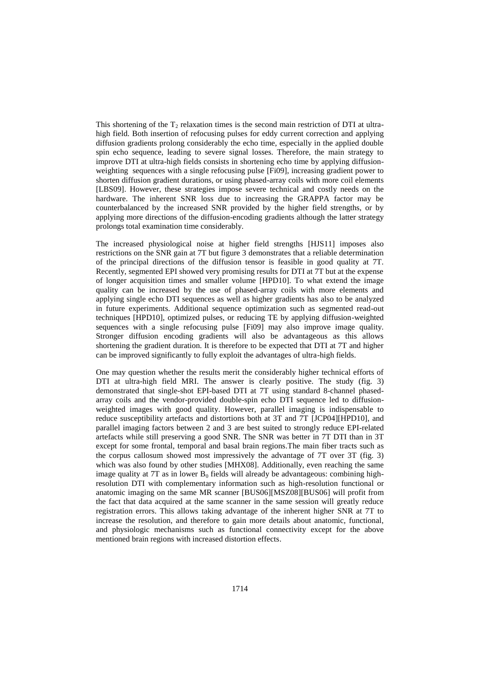This shortening of the  $T_2$  relaxation times is the second main restriction of DTI at ultrahigh field. Both insertion of refocusing pulses for eddy current correction and applying diffusion gradients prolong considerably the echo time, especially in the applied double spin echo sequence, leading to severe signal losses. Therefore, the main strategy to improve DTI at ultra-high fields consists in shortening echo time by applying diffusionweighting sequences with a single refocusing pulse [Fi09], increasing gradient power to shorten diffusion gradient durations, or using phased-array coils with more coil elements [LBS09]. However, these strategies impose severe technical and costly needs on the hardware. The inherent SNR loss due to increasing the GRAPPA factor may be counterbalanced by the increased SNR provided by the higher field strengths, or by applying more directions of the diffusion-encoding gradients although the latter strategy prolongs total examination time considerably.

The increased physiological noise at higher field strengths [HJS11] imposes also restrictions on the SNR gain at 7T but figure 3 demonstrates that a reliable determination of the principal directions of the diffusion tensor is feasible in good quality at 7T. Recently, segmented EPI showed very promising results for DTI at 7T but at the expense of longer acquisition times and smaller volume [HPD10]. To what extend the image quality can be increased by the use of phased-array coils with more elements and applying single echo DTI sequences as well as higher gradients has also to be analyzed in future experiments. Additional sequence optimization such as segmented read-out techniques [HPD10], optimized pulses, or reducing TE by applying diffusion-weighted sequences with a single refocusing pulse [Fi09] may also improve image quality. Stronger diffusion encoding gradients will also be advantageous as this allows shortening the gradient duration. It is therefore to be expected that DTI at 7T and higher can be improved significantly to fully exploit the advantages of ultra-high fields.

One may question whether the results merit the considerably higher technical efforts of DTI at ultra-high field MRI. The answer is clearly positive. The study (fig. 3) demonstrated that single-shot EPI-based DTI at 7T using standard 8-channel phasedarray coils and the vendor-provided double-spin echo DTI sequence led to diffusionweighted images with good quality. However, parallel imaging is indispensable to reduce susceptibility artefacts and distortions both at 3T and 7T [JCP04][HPD10], and parallel imaging factors between 2 and 3 are best suited to strongly reduce EPI-related artefacts while still preserving a good SNR. The SNR was better in 7T DTI than in 3T except for some frontal, temporal and basal brain regions.The main fiber tracts such as the corpus callosum showed most impressively the advantage of 7T over 3T (fig. 3) which was also found by other studies [MHX08]. Additionally, even reaching the same image quality at 7T as in lower  $B_0$  fields will already be advantageous: combining highresolution DTI with complementary information such as high-resolution functional or anatomic imaging on the same MR scanner [BUS06][MSZ08][BUS06] will profit from the fact that data acquired at the same scanner in the same session will greatly reduce registration errors. This allows taking advantage of the inherent higher SNR at 7T to increase the resolution, and therefore to gain more details about anatomic, functional, and physiologic mechanisms such as functional connectivity except for the above mentioned brain regions with increased distortion effects.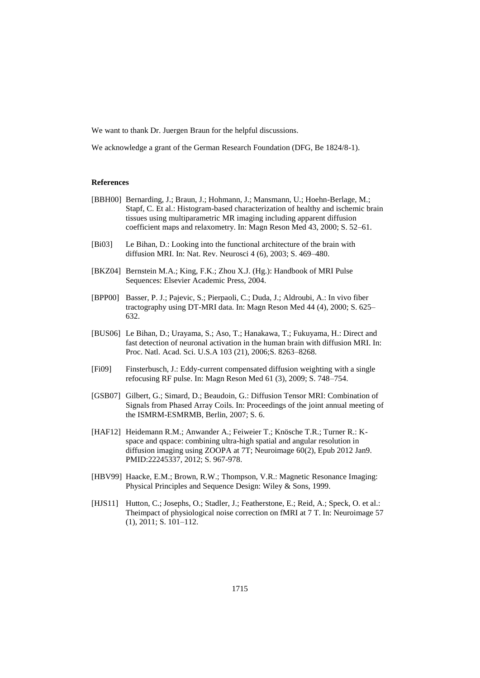We want to thank Dr. Juergen Braun for the helpful discussions.

We acknowledge a grant of the German Research Foundation (DFG, Be 1824/8-1).

#### **References**

|         | [BBH00] Bernarding, J.; Braun, J.; Hohmann, J.; Mansmann, U.; Hoehn-Berlage, M.;<br>Stapf, C. Et al.: Histogram-based characterization of healthy and ischemic brain<br>tissues using multiparametric MR imaging including apparent diffusion<br>coefficient maps and relaxometry. In: Magn Reson Med 43, 2000; S. 52–61. |
|---------|---------------------------------------------------------------------------------------------------------------------------------------------------------------------------------------------------------------------------------------------------------------------------------------------------------------------------|
| [Bi03]  | Le Bihan, D.: Looking into the functional architecture of the brain with<br>diffusion MRI. In: Nat. Rev. Neurosci 4 (6), 2003; S. 469–480.                                                                                                                                                                                |
| [BKZ04] | Bernstein M.A.; King, F.K.; Zhou X.J. (Hg.): Handbook of MRI Pulse<br>Sequences: Elsevier Academic Press, 2004.                                                                                                                                                                                                           |
| [BPP00] | Basser, P. J.; Pajevic, S.; Pierpaoli, C.; Duda, J.; Aldroubi, A.: In vivo fiber<br>tractography using DT-MRI data. In: Magn Reson Med 44 (4), 2000; S. 625-<br>632.                                                                                                                                                      |
|         | [BUS06] Le Bihan, D.; Urayama, S.; Aso, T.; Hanakawa, T.; Fukuyama, H.: Direct and<br>fast detection of neuronal activation in the human brain with diffusion MRI. In:<br>Proc. Natl. Acad. Sci. U.S.A 103 (21), 2006;S. 8263-8268.                                                                                       |
| [Fi09]  | Finsterbusch, J.: Eddy-current compensated diffusion weighting with a single<br>refocusing RF pulse. In: Magn Reson Med 61 (3), 2009; S. 748–754.                                                                                                                                                                         |
| [GSB07] | Gilbert, G.; Simard, D.; Beaudoin, G.: Diffusion Tensor MRI: Combination of<br>Signals from Phased Array Coils. In: Proceedings of the joint annual meeting of                                                                                                                                                            |

- the ISMRM-ESMRMB, Berlin, 2007; S. 6. [HAF12] Heidemann R.M.; Anwander A.; Feiweier T.; Knösche T.R.; Turner R.: Kspace and qspace: combining ultra-high spatial and angular resolution in diffusion imaging using ZOOPA at 7T; Neuroimage 60(2), Epub 2012 Jan9.
- [HBV99] Haacke, E.M.; Brown, R.W.; Thompson, V.R.: Magnetic Resonance Imaging: Physical Principles and Sequence Design: Wiley & Sons, 1999.

PMID:22245337, 2012; S. 967-978.

[HJS11] Hutton, C.; Josephs, O.; Stadler, J.; Featherstone, E.; Reid, A.; Speck, O. et al.: Theimpact of physiological noise correction on fMRI at 7 T. In: Neuroimage 57 (1), 2011; S. 101–112.